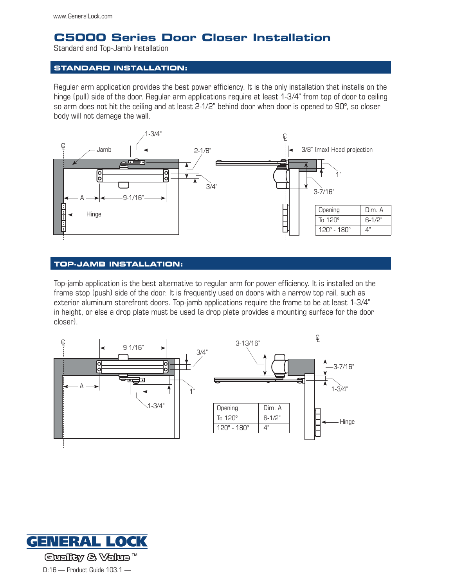# **C5000 Series Door Closer Installation**

Standard and Top-Jamb Installation

## **Standard installation:**

Regular arm application provides the best power efficiency. It is the only installation that installs on the hinge (pull) side of the door. Regular arm applications require at least 1-3/4" from top of door to ceiling so arm does not hit the ceiling and at least 2-1/2" behind door when door is opened to 90º, so closer body will not damage the wall.



### **Top-Jamb installation:**

Top-jamb application is the best alternative to regular arm for power efficiency. It is installed on the frame stop (push) side of the door. It is frequently used on doors with a narrow top rail, such as exterior aluminum storefront doors. Top-jamb applications require the frame to be at least 1-3/4" in height, or else a drop plate must be used (a drop plate provides a mounting surface for the door closer).



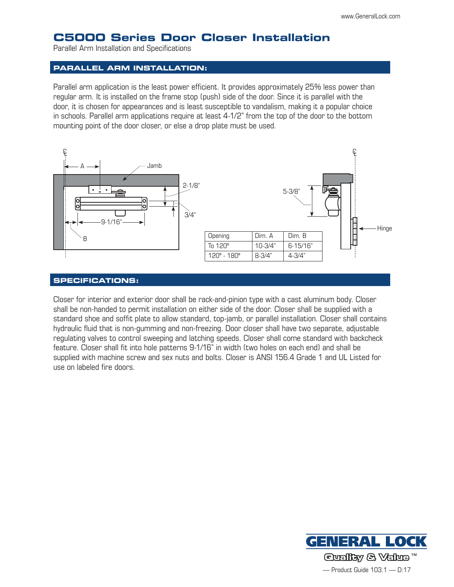# **C5000 Series Door Closer Installation**

Parallel Arm Installation and Specifications

### **Parallel Arm installation:**

Parallel arm application is the least power efficient. It provides approximately 25% less power than regular arm. It is installed on the frame stop (push) side of the door. Since it is parallel with the door, it is chosen for appearances and is least susceptible to vandalism, making it a popular choice in schools. Parallel arm applications require at least 4-1/2" from the top of the door to the bottom mounting point of the door closer, or else a drop plate must be used.



#### **Specifications:**

Closer for interior and exterior door shall be rack-and-pinion type with a cast aluminum body. Closer shall be non-handed to permit installation on either side of the door. Closer shall be supplied with a standard shoe and soffit plate to allow standard, top-jamb, or parallel installation. Closer shall contains hydraulic fluid that is non-gumming and non-freezing. Door closer shall have two separate, adjustable regulating valves to control sweeping and latching speeds. Closer shall come standard with backcheck feature. Closer shall fit into hole patterns 9-1/16" in width (two holes on each end) and shall be supplied with machine screw and sex nuts and bolts. Closer is ANSI 156.4 Grade 1 and UL Listed for use on labeled fire doors.